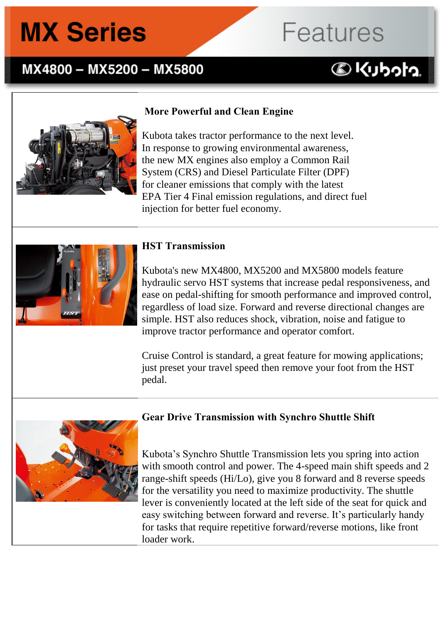### MX4800 - MX5200 - MX5800

#### **More Powerful and Clean Engine**

Kubota takes tractor performance to the next level. In response to growing environmental awareness, the new MX engines also employ a Common Rail System (CRS) and Diesel Particulate Filter (DPF) for cleaner emissions that comply with the latest EPA Tier 4 Final emission regulations, and direct fuel injection for better fuel economy.

#### **HST Transmission**

Kubota's new MX4800, MX5200 and MX5800 models feature hydraulic servo HST systems that increase pedal responsiveness, and ease on pedal-shifting for smooth performance and improved control, regardless of load size. Forward and reverse directional changes are simple. HST also reduces shock, vibration, noise and fatigue to improve tractor performance and operator comfort.

**Features** 

**BKUbota** 

Cruise Control is standard, a great feature for mowing applications; just preset your travel speed then remove your foot from the HST pedal.



#### **Gear Drive Transmission with Synchro Shuttle Shift M;M; only**

Kubota's Synchro Shuttle Transmission lets you spring into action with smooth control and power. The 4-speed main shift speeds and 2 range-shift speeds (Hi/Lo), give you 8 forward and 8 reverse speeds for the versatility you need to maximize productivity. The shuttle lever is conveniently located at the left side of the seat for quick and easy switching between forward and reverse. It's particularly handy for tasks that require repetitive forward/reverse motions, like front loader work.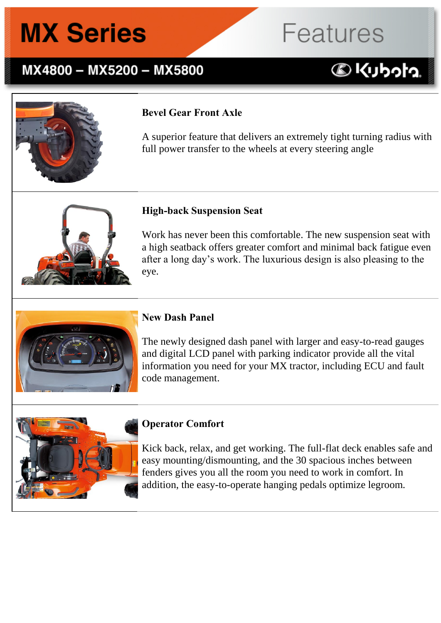## MX4800 - MX5200 - MX5800

### **Bevel Gear Front Axle**

A superior feature that delivers an extremely tight turning radius with full power transfer to the wheels at every steering angle

**Features** 

**DKUbota** 



#### **High-back Suspension Seat**

Work has never been this comfortable. The new suspension seat with a high seatback offers greater comfort and minimal back fatigue even after a long day's work. The luxurious design is also pleasing to the eye.



#### **New Dash Panel**

The newly designed dash panel with larger and easy-to-read gauges and digital LCD panel with parking indicator provide all the vital information you need for your MX tractor, including ECU and fault code management.



#### **Operator Comfort**

Kick back, relax, and get working. The full-flat deck enables safe and easy mounting/dismounting, and the 30 spacious inches between fenders gives you all the room you need to work in comfort. In addition, the easy-to-operate hanging pedals optimize legroom.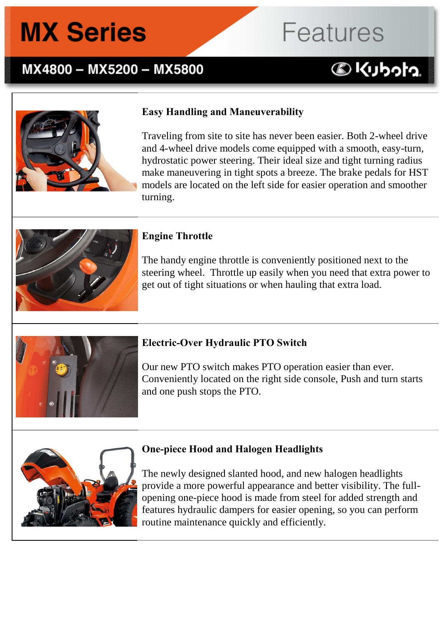## MX4800 - MX5200 - MX5800

### **Easy Handling and Maneuverability**

Traveling from site to site has never been easier. Both 2-wheel drive and 4-wheel drive models come equipped with a smooth, easy-turn, hydrostatic power steering. Their ideal size and tight turning radius make maneuvering in tight spots a breeze. The brake pedals for HST models are located on the left side for easier operation and smoother turning.

Features

**BKUbota** 



#### **Engine Throttle**

The handy engine throttle is conveniently positioned next to the steering wheel. Throttle up easily when you need that extra power to get out of tight situations or when hauling that extra load.



#### **Electric-Over Hydraulic PTO Switch**

Our new PTO switch makes PTO operation easier than ever. Conveniently located on the right side console, Push and turn starts and one push stops the PTO.



#### **One-piece Hood and Halogen Headlights**

The newly designed slanted hood, and new halogen headlights provide a more powerful appearance and better visibility. The fullopening one-piece hood is made from steel for added strength and features hydraulic dampers for easier opening, so you can perform routine maintenance quickly and efficiently.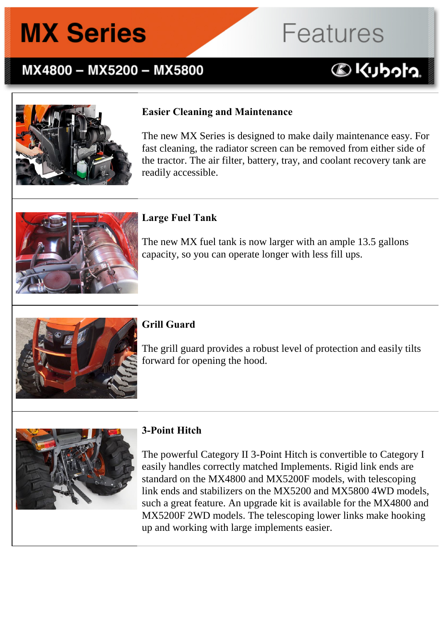## MX4800 - MX5200 - MX5800

#### **Easier Cleaning and Maintenance**

The new MX Series is designed to make daily maintenance easy. For fast cleaning, the radiator screen can be removed from either side of the tractor. The air filter, battery, tray, and coolant recovery tank are readily accessible.

**Features** 

**DKUbota** 

#### **Large Fuel Tank**

The new MX fuel tank is now larger with an ample 13.5 gallons capacity, so you can operate longer with less fill ups.



#### **Grill Guard**

The grill guard provides a robust level of protection and easily tilts forward for opening the hood.



#### **3-Point Hitch**

The powerful Category II 3-Point Hitch is convertible to Category I easily handles correctly matched Implements. Rigid link ends are standard on the MX4800 and MX5200F models, with telescoping link ends and stabilizers on the MX5200 and MX5800 4WD models, such a great feature. An upgrade kit is available for the MX4800 and MX5200F 2WD models. The telescoping lower links make hooking up and working with large implements easier.